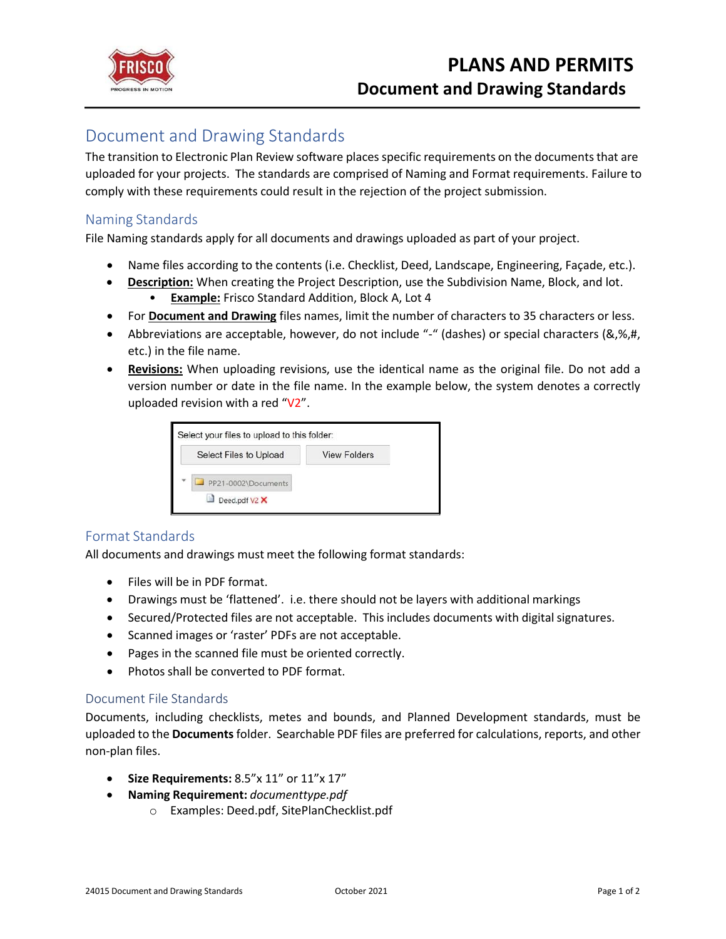

# Document and Drawing Standards

The transition to Electronic Plan Review software places specific requirements on the documents that are uploaded for your projects. The standards are comprised of Naming and Format requirements. Failure to comply with these requirements could result in the rejection of the project submission.

### Naming Standards

File Naming standards apply for all documents and drawings uploaded as part of your project.

- Name files according to the contents (i.e. Checklist, Deed, Landscape, Engineering, Façade, etc.).
- **Description:** When creating the Project Description, use the Subdivision Name, Block, and lot.
	- **Example:** Frisco Standard Addition, Block A, Lot 4
- For **Document and Drawing** files names, limit the number of characters to 35 characters or less.
- Abbreviations are acceptable, however, do not include "-" (dashes) or special characters (&,%,#, etc.) in the file name.
- **Revisions:** When uploading revisions, use the identical name as the original file. Do not add a version number or date in the file name. In the example below, the system denotes a correctly uploaded revision with a red " $V2$ ".

| Select your files to upload to this folder: |                     |
|---------------------------------------------|---------------------|
| Select Files to Upload                      | <b>View Folders</b> |
| PP21-0002\Documents                         |                     |
| Deed.pdf V2 X                               |                     |

## Format Standards

All documents and drawings must meet the following format standards:

- Files will be in PDF format.
- Drawings must be 'flattened'. i.e. there should not be layers with additional markings
- Secured/Protected files are not acceptable. This includes documents with digital signatures.
- Scanned images or 'raster' PDFs are not acceptable.
- Pages in the scanned file must be oriented correctly.
- Photos shall be converted to PDF format.

#### Document File Standards

Documents, including checklists, metes and bounds, and Planned Development standards, must be uploaded to the **Documents** folder. Searchable PDF files are preferred for calculations, reports, and other non-plan files.

- **Size Requirements:** 8.5"x 11" or 11"x 17"
- **Naming Requirement:** *documenttype.pdf*
	- o Examples: Deed.pdf, SitePlanChecklist.pdf